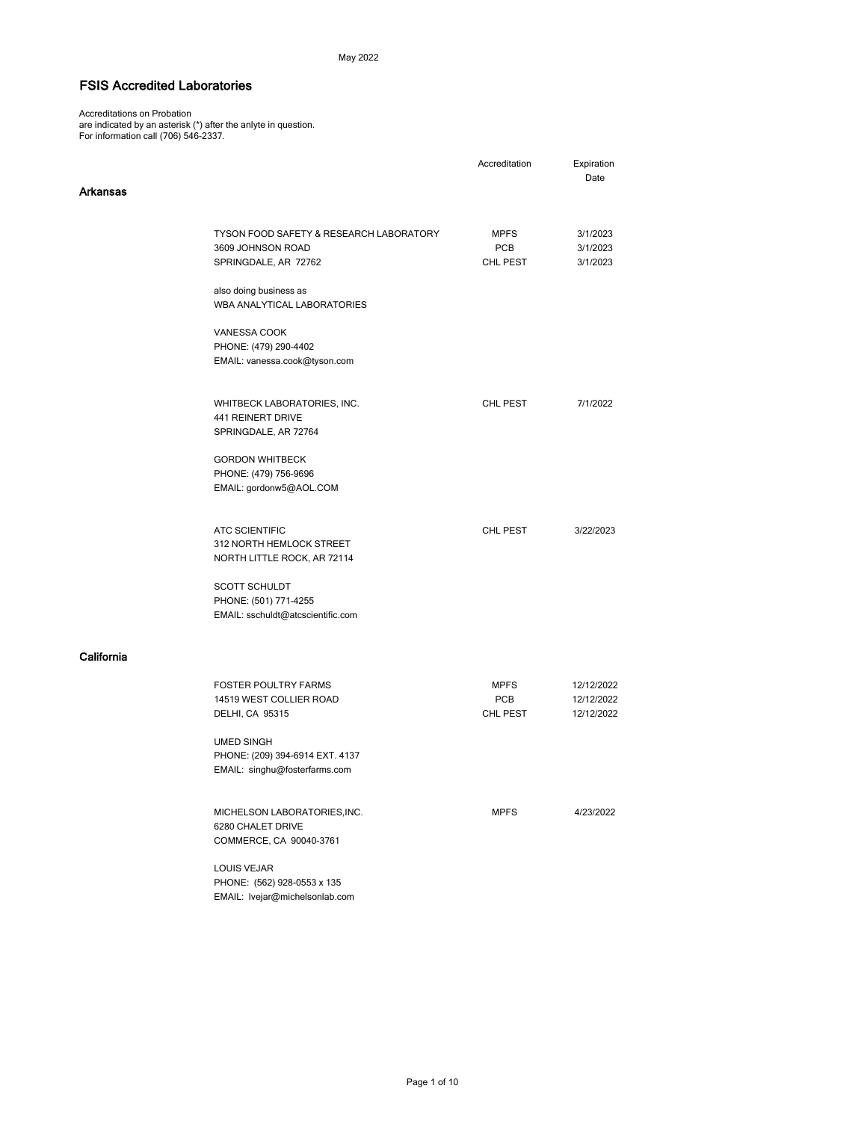## May 2022

## FSIS Accredited Laboratories

 Accreditations on Probation are indicated by an asterisk (\*) after the anlyte in question. For information call (706) 546-2337.

|            |                                                   | Accreditation | Expiration |
|------------|---------------------------------------------------|---------------|------------|
| Arkansas   |                                                   |               | Date       |
|            |                                                   |               |            |
|            |                                                   |               |            |
|            | TYSON FOOD SAFETY & RESEARCH LABORATORY           | MPFS          | 3/1/2023   |
|            | 3609 JOHNSON ROAD                                 | PCB           | 3/1/2023   |
|            | SPRINGDALE, AR 72762                              | CHL PEST      | 3/1/2023   |
|            | also doing business as                            |               |            |
|            | WBA ANALYTICAL LABORATORIES                       |               |            |
|            | VANESSA COOK                                      |               |            |
|            | PHONE: (479) 290-4402                             |               |            |
|            | EMAIL: vanessa.cook@tyson.com                     |               |            |
|            | WHITBECK LABORATORIES, INC.                       | CHL PEST      | 7/1/2022   |
|            | <b>441 REINERT DRIVE</b>                          |               |            |
|            | SPRINGDALE, AR 72764                              |               |            |
|            | <b>GORDON WHITBECK</b>                            |               |            |
|            | PHONE: (479) 756-9696                             |               |            |
|            | EMAIL: gordonw5@AOL.COM                           |               |            |
|            |                                                   |               |            |
|            | <b>ATC SCIENTIFIC</b>                             | CHL PEST      | 3/22/2023  |
|            | 312 NORTH HEMLOCK STREET                          |               |            |
|            | NORTH LITTLE ROCK, AR 72114                       |               |            |
|            | <b>SCOTT SCHULDT</b>                              |               |            |
|            | PHONE: (501) 771-4255                             |               |            |
|            | EMAIL: sschuldt@atcscientific.com                 |               |            |
| California |                                                   |               |            |
|            |                                                   |               |            |
|            | <b>FOSTER POULTRY FARMS</b>                       | MPFS          | 12/12/2022 |
|            | 14519 WEST COLLIER ROAD                           | PCB           | 12/12/2022 |
|            | DELHI, CA 95315                                   | CHL PEST      | 12/12/2022 |
|            | <b>UMED SINGH</b>                                 |               |            |
|            | PHONE: (209) 394-6914 EXT. 4137                   |               |            |
|            | EMAIL: singhu@fosterfarms.com                     |               |            |
|            |                                                   |               |            |
|            | MICHELSON LABORATORIES, INC.<br>6280 CHALET DRIVE | <b>MPFS</b>   | 4/23/2022  |
|            | COMMERCE, CA 90040-3761                           |               |            |
|            | LOUIS VEJAR                                       |               |            |
|            | PHONE: (562) 928-0553 x 135                       |               |            |
|            | EMAIL: Ivejar@michelsonlab.com                    |               |            |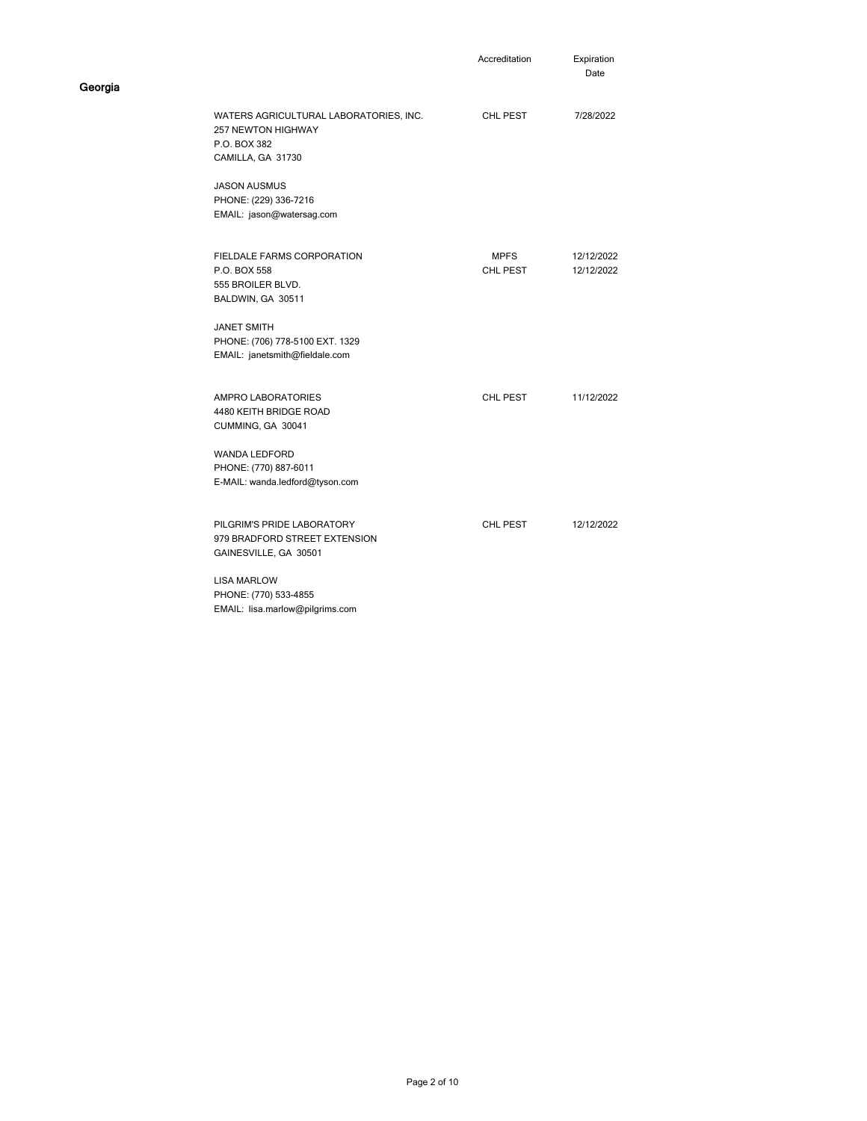|                                                                                                   | Accreditation           | Expiration<br>Date       |
|---------------------------------------------------------------------------------------------------|-------------------------|--------------------------|
| WATERS AGRICULTURAL LABORATORIES, INC.<br>257 NEWTON HIGHWAY<br>P.O. BOX 382<br>CAMILLA, GA 31730 | CHL PEST                | 7/28/2022                |
| <b>JASON AUSMUS</b><br>PHONE: (229) 336-7216<br>EMAIL: jason@watersag.com                         |                         |                          |
| <b>FIELDALE FARMS CORPORATION</b><br>P.O. BOX 558<br>555 BROILER BLVD.<br>BALDWIN, GA 30511       | <b>MPFS</b><br>CHL PEST | 12/12/2022<br>12/12/2022 |
| <b>JANET SMITH</b><br>PHONE: (706) 778-5100 EXT. 1329<br>EMAIL: janetsmith@fieldale.com           |                         |                          |
| <b>AMPRO LABORATORIES</b><br>4480 KEITH BRIDGE ROAD<br>CUMMING, GA 30041                          | CHL PEST                | 11/12/2022               |
| WANDA LEDFORD<br>PHONE: (770) 887-6011<br>E-MAIL: wanda.ledford@tyson.com                         |                         |                          |
| PILGRIM'S PRIDE LABORATORY<br>979 BRADFORD STREET EXTENSION<br>GAINESVILLE, GA 30501              | CHL PEST                | 12/12/2022               |
| <b>LISA MARLOW</b><br>PHONE: (770) 533-4855<br>EMAIL: lisa.marlow@pilgrims.com                    |                         |                          |

Georgia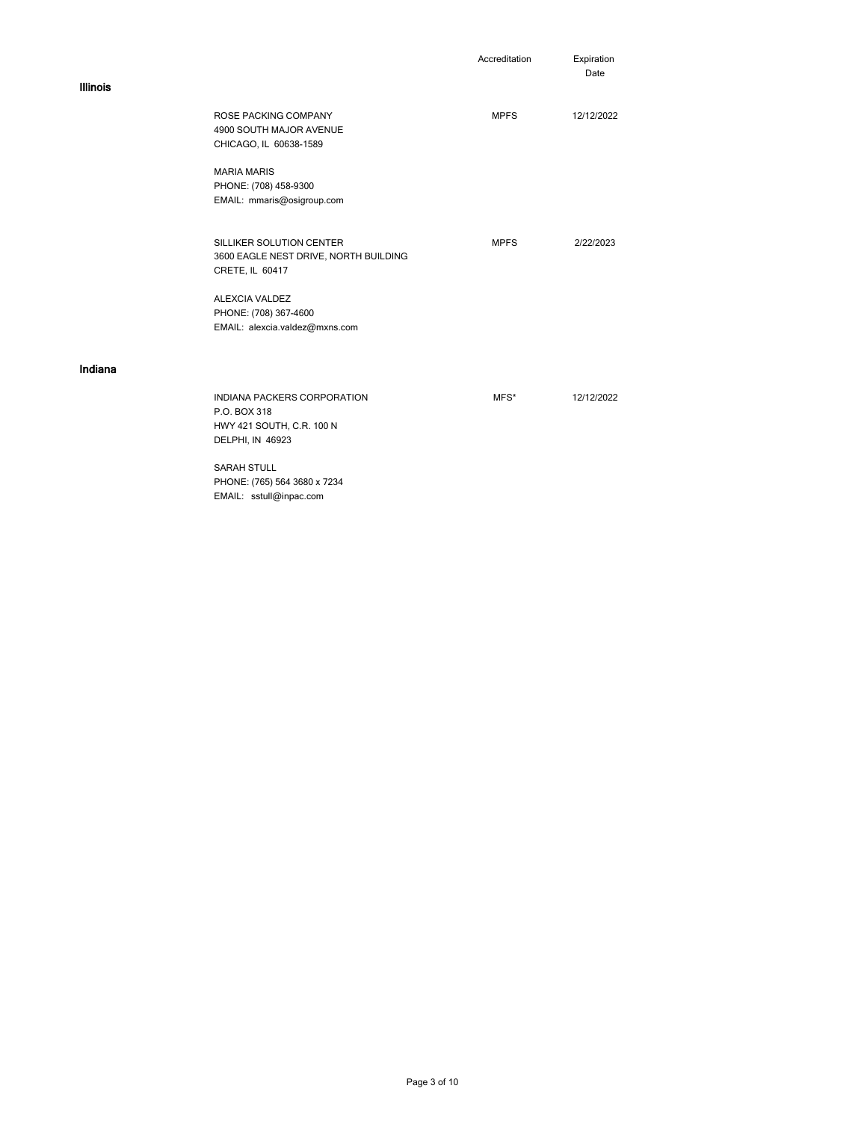|                 |                                                   | Accreditation | Expiration<br>Date |
|-----------------|---------------------------------------------------|---------------|--------------------|
| <b>Illinois</b> |                                                   |               |                    |
|                 | ROSE PACKING COMPANY                              | <b>MPFS</b>   | 12/12/2022         |
|                 | 4900 SOUTH MAJOR AVENUE<br>CHICAGO, IL 60638-1589 |               |                    |
|                 |                                                   |               |                    |
|                 | <b>MARIA MARIS</b>                                |               |                    |
|                 | PHONE: (708) 458-9300                             |               |                    |
|                 | EMAIL: mmaris@osigroup.com                        |               |                    |
|                 | SILLIKER SOLUTION CENTER                          | <b>MPFS</b>   | 2/22/2023          |
|                 | 3600 EAGLE NEST DRIVE, NORTH BUILDING             |               |                    |
|                 | CRETE, IL 60417                                   |               |                    |
|                 | <b>ALEXCIA VALDEZ</b>                             |               |                    |
|                 | PHONE: (708) 367-4600                             |               |                    |
|                 | EMAIL: alexcia.valdez@mxns.com                    |               |                    |
|                 |                                                   |               |                    |
| Indiana         |                                                   |               |                    |
|                 | <b>INDIANA PACKERS CORPORATION</b>                | MFS*          | 12/12/2022         |
|                 | P.O. BOX 318                                      |               |                    |
|                 | HWY 421 SOUTH, C.R. 100 N<br>DELPHI, IN 46923     |               |                    |
|                 |                                                   |               |                    |
|                 | <b>SARAH STULL</b>                                |               |                    |
|                 | PHONE: (765) 564 3680 x 7234                      |               |                    |

EMAIL: sstull@inpac.com

Page 3 of 10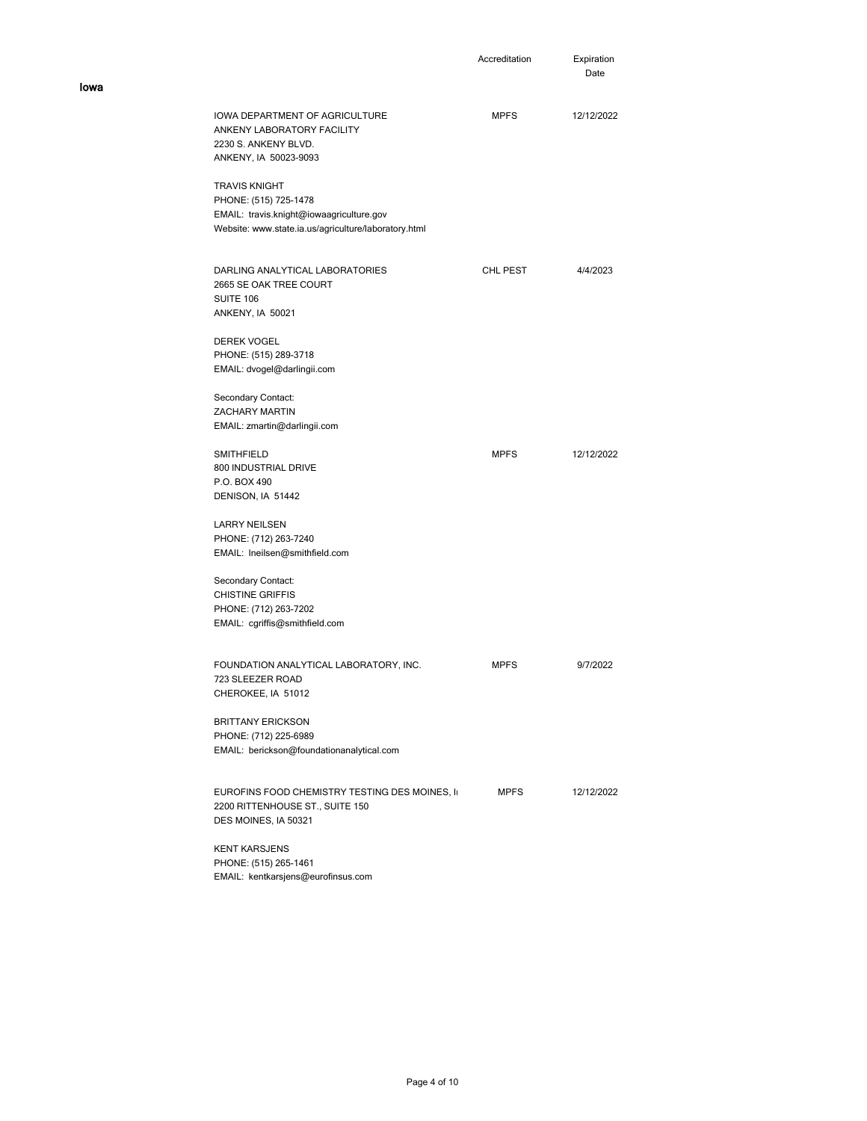|                                                                                                                      | Accreditation | Expiration<br>Date |
|----------------------------------------------------------------------------------------------------------------------|---------------|--------------------|
| <b>IOWA DEPARTMENT OF AGRICULTURE</b><br>ANKENY LABORATORY FACILITY<br>2230 S. ANKENY BLVD.<br>ANKENY, IA 50023-9093 | <b>MPFS</b>   | 12/12/2022         |
| <b>TRAVIS KNIGHT</b>                                                                                                 |               |                    |
| PHONE: (515) 725-1478                                                                                                |               |                    |
| EMAIL: travis.knight@iowaagriculture.gov<br>Website: www.state.ia.us/agriculture/laboratory.html                     |               |                    |
| DARLING ANALYTICAL LABORATORIES                                                                                      | CHL PEST      | 4/4/2023           |
| 2665 SE OAK TREE COURT                                                                                               |               |                    |
| <b>SUITE 106</b><br>ANKENY, IA 50021                                                                                 |               |                    |
| <b>DEREK VOGEL</b>                                                                                                   |               |                    |
| PHONE: (515) 289-3718                                                                                                |               |                    |
| EMAIL: dvogel@darlingii.com                                                                                          |               |                    |
| Secondary Contact:                                                                                                   |               |                    |
| <b>ZACHARY MARTIN</b>                                                                                                |               |                    |
| EMAIL: zmartin@darlingii.com                                                                                         |               |                    |
| <b>SMITHFIELD</b>                                                                                                    | <b>MPFS</b>   | 12/12/2022         |
| 800 INDUSTRIAL DRIVE                                                                                                 |               |                    |
| P.O. BOX 490<br>DENISON, IA 51442                                                                                    |               |                    |
|                                                                                                                      |               |                    |
| <b>LARRY NEILSEN</b>                                                                                                 |               |                    |
| PHONE: (712) 263-7240                                                                                                |               |                    |
| EMAIL: Ineilsen@smithfield.com                                                                                       |               |                    |
| Secondary Contact:                                                                                                   |               |                    |
| <b>CHISTINE GRIFFIS</b>                                                                                              |               |                    |
| PHONE: (712) 263-7202                                                                                                |               |                    |
| EMAIL: cgriffis@smithfield.com                                                                                       |               |                    |
| FOUNDATION ANALYTICAL LABORATORY, INC.                                                                               | <b>MPFS</b>   | 9/7/2022           |
| 723 SLEEZER ROAD                                                                                                     |               |                    |
| CHEROKEE, IA 51012                                                                                                   |               |                    |
| <b>BRITTANY ERICKSON</b>                                                                                             |               |                    |
| PHONE: (712) 225-6989                                                                                                |               |                    |
| EMAIL: berickson@foundationanalytical.com                                                                            |               |                    |
| EUROFINS FOOD CHEMISTRY TESTING DES MOINES, II                                                                       | <b>MPFS</b>   | 12/12/2022         |
| 2200 RITTENHOUSE ST., SUITE 150                                                                                      |               |                    |
| DES MOINES, IA 50321                                                                                                 |               |                    |
| <b>KENT KARSJENS</b>                                                                                                 |               |                    |
| PHONE: (515) 265-1461                                                                                                |               |                    |
| EMAIL: kentkarsjens@eurofinsus.com                                                                                   |               |                    |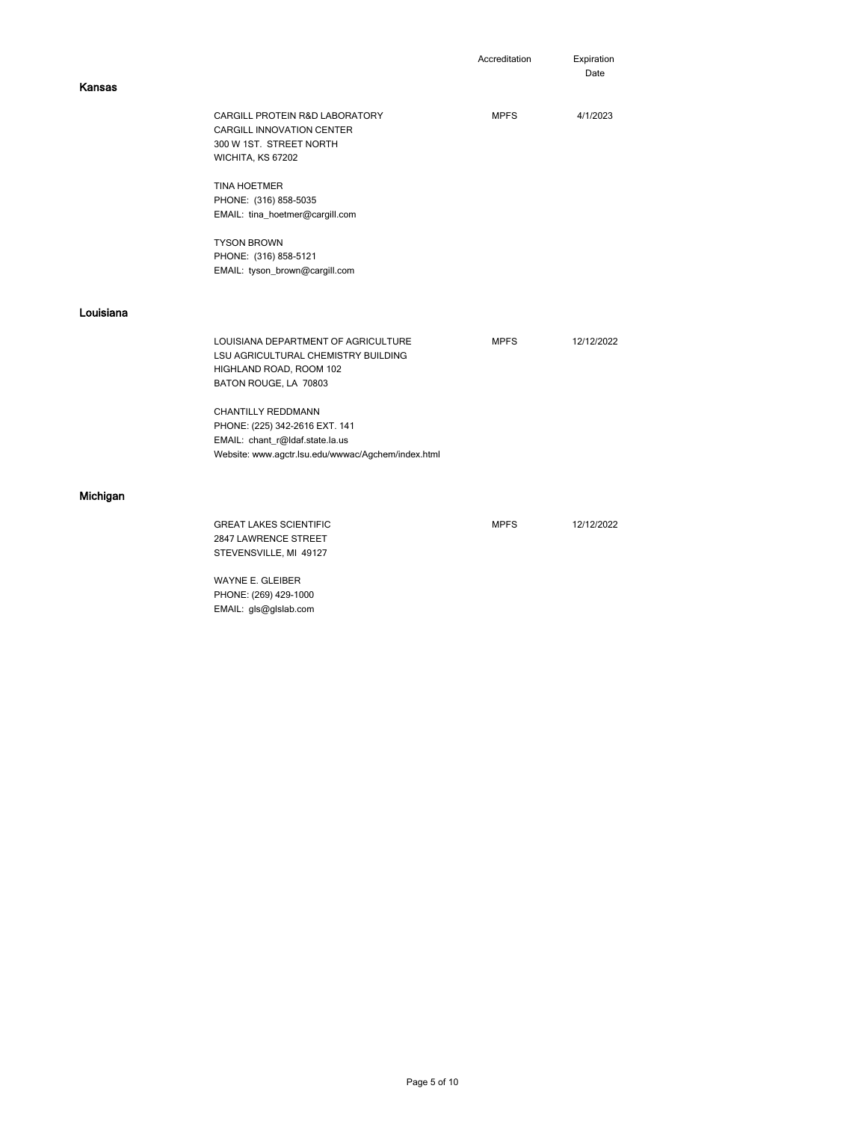|                       |                                                    | Accreditation | Expiration<br>Date |
|-----------------------|----------------------------------------------------|---------------|--------------------|
| <b>Kansas</b>         |                                                    |               |                    |
|                       | CARGILL PROTEIN R&D LABORATORY                     | <b>MPFS</b>   | 4/1/2023           |
|                       | CARGILL INNOVATION CENTER                          |               |                    |
|                       | 300 W 1ST. STREET NORTH                            |               |                    |
| WICHITA, KS 67202     |                                                    |               |                    |
| <b>TINA HOETMER</b>   |                                                    |               |                    |
| PHONE: (316) 858-5035 |                                                    |               |                    |
|                       | EMAIL: tina_hoetmer@cargill.com                    |               |                    |
| <b>TYSON BROWN</b>    |                                                    |               |                    |
| PHONE: (316) 858-5121 |                                                    |               |                    |
|                       | EMAIL: tyson_brown@cargill.com                     |               |                    |
| Louisiana             |                                                    |               |                    |
|                       |                                                    |               |                    |
|                       | LOUISIANA DEPARTMENT OF AGRICULTURE                | <b>MPFS</b>   | 12/12/2022         |
|                       | LSU AGRICULTURAL CHEMISTRY BUILDING                |               |                    |
|                       | HIGHLAND ROAD, ROOM 102                            |               |                    |
|                       | BATON ROUGE, LA 70803                              |               |                    |
| CHANTILLY REDDMANN    |                                                    |               |                    |
|                       | PHONE: (225) 342-2616 EXT. 141                     |               |                    |
|                       | EMAIL: chant_r@ldaf.state.la.us                    |               |                    |
|                       | Website: www.agctr.lsu.edu/wwwac/Agchem/index.html |               |                    |
|                       |                                                    |               |                    |
| Michigan              |                                                    |               |                    |
|                       | <b>GREAT LAKES SCIENTIFIC</b>                      | <b>MPFS</b>   | 12/12/2022         |
|                       | 2847 LAWRENCE STREET                               |               |                    |
|                       | STEVENSVILLE, MI 49127                             |               |                    |
| WAYNE E. GLEIBER      |                                                    |               |                    |
| PHONE: (269) 429-1000 |                                                    |               |                    |

EMAIL: gls@glslab.com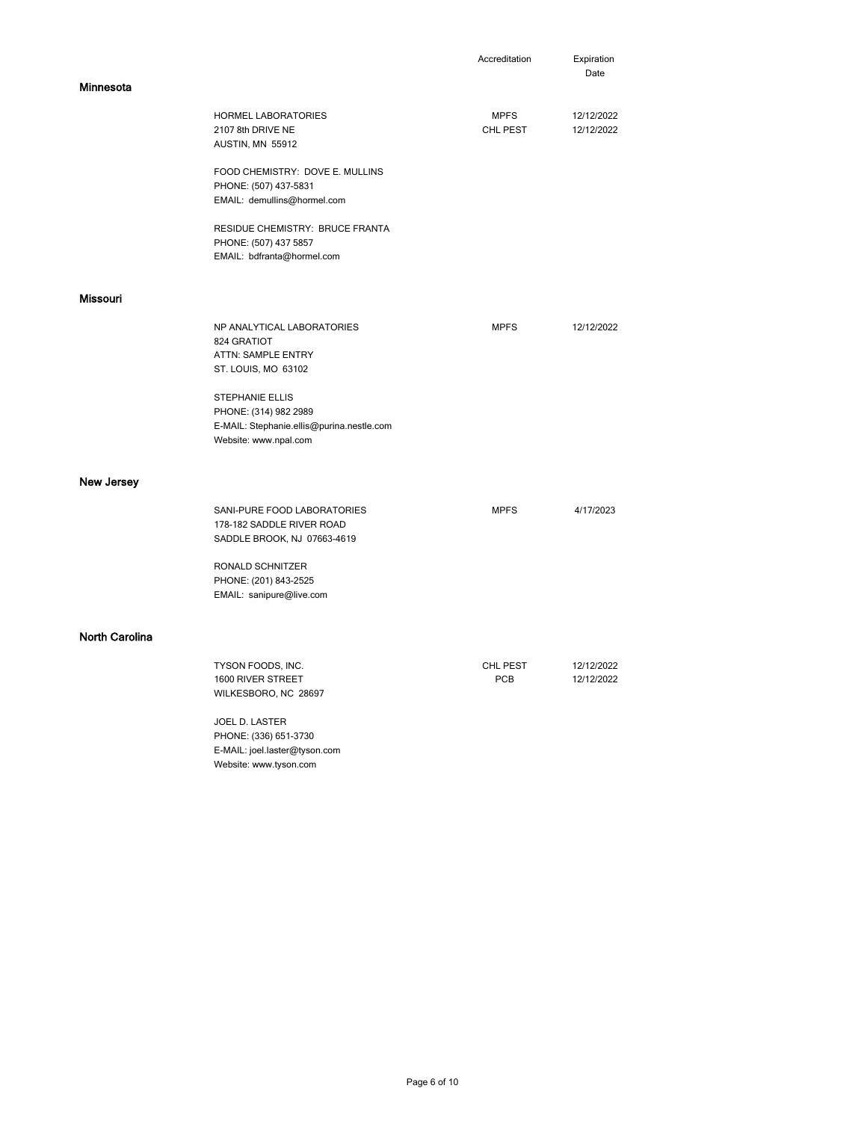|                       |                                                                                                                       | Accreditation           | Expiration<br>Date       |
|-----------------------|-----------------------------------------------------------------------------------------------------------------------|-------------------------|--------------------------|
| Minnesota             |                                                                                                                       |                         |                          |
|                       | <b>HORMEL LABORATORIES</b><br>2107 8th DRIVE NE<br>AUSTIN, MN 55912                                                   | <b>MPFS</b><br>CHL PEST | 12/12/2022<br>12/12/2022 |
|                       | FOOD CHEMISTRY: DOVE E. MULLINS<br>PHONE: (507) 437-5831<br>EMAIL: demullins@hormel.com                               |                         |                          |
|                       | RESIDUE CHEMISTRY: BRUCE FRANTA<br>PHONE: (507) 437 5857<br>EMAIL: bdfranta@hormel.com                                |                         |                          |
| <b>Missouri</b>       |                                                                                                                       |                         |                          |
|                       | NP ANALYTICAL LABORATORIES<br>824 GRATIOT<br>ATTN: SAMPLE ENTRY<br>ST. LOUIS, MO 63102                                | <b>MPFS</b>             | 12/12/2022               |
|                       | <b>STEPHANIE ELLIS</b><br>PHONE: (314) 982 2989<br>E-MAIL: Stephanie.ellis@purina.nestle.com<br>Website: www.npal.com |                         |                          |
| <b>New Jersey</b>     |                                                                                                                       |                         |                          |
|                       | SANI-PURE FOOD LABORATORIES<br>178-182 SADDLE RIVER ROAD<br>SADDLE BROOK, NJ 07663-4619                               | <b>MPFS</b>             | 4/17/2023                |
|                       | RONALD SCHNITZER<br>PHONE: (201) 843-2525<br>EMAIL: sanipure@live.com                                                 |                         |                          |
| <b>North Carolina</b> |                                                                                                                       |                         |                          |
|                       | TYSON FOODS, INC.<br>1600 RIVER STREET<br>WILKESBORO, NC 28697                                                        | CHL PEST<br><b>PCB</b>  | 12/12/2022<br>12/12/2022 |
|                       | JOEL D. LASTER<br>PHONE: (336) 651-3730<br>E-MAIL: joel.laster@tyson.com<br>Website: www.tyson.com                    |                         |                          |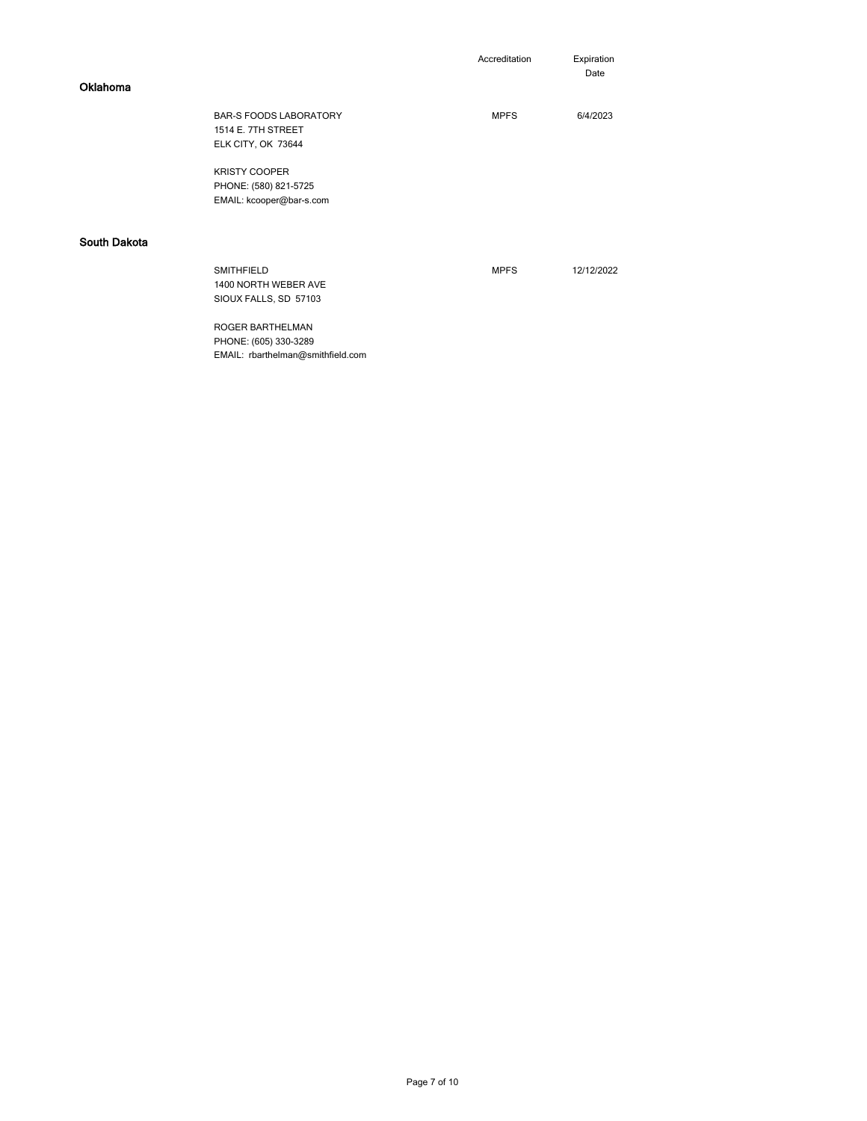| Accreditation | Expiration |
|---------------|------------|
|               |            |

.<br>Date

| <b>BAR-S FOODS LABORATORY</b>                                      | <b>MPFS</b> | 6/4/2023   |
|--------------------------------------------------------------------|-------------|------------|
| 1514 E. 7TH STREET                                                 |             |            |
| ELK CITY, OK 73644                                                 |             |            |
| <b>KRISTY COOPER</b>                                               |             |            |
| PHONE: (580) 821-5725                                              |             |            |
| EMAIL: kcooper@bar-s.com                                           |             |            |
|                                                                    |             |            |
|                                                                    |             |            |
| <b>SMITHFIELD</b><br>1400 NORTH WEBER AVE<br>SIOUX FALLS, SD 57103 | <b>MPFS</b> | 12/12/2022 |
|                                                                    |             |            |

 PHONE: (605) 330-3289 ROGER BARTHELMAN EMAIL: rbarthelman@smithfield.com

Oklahoma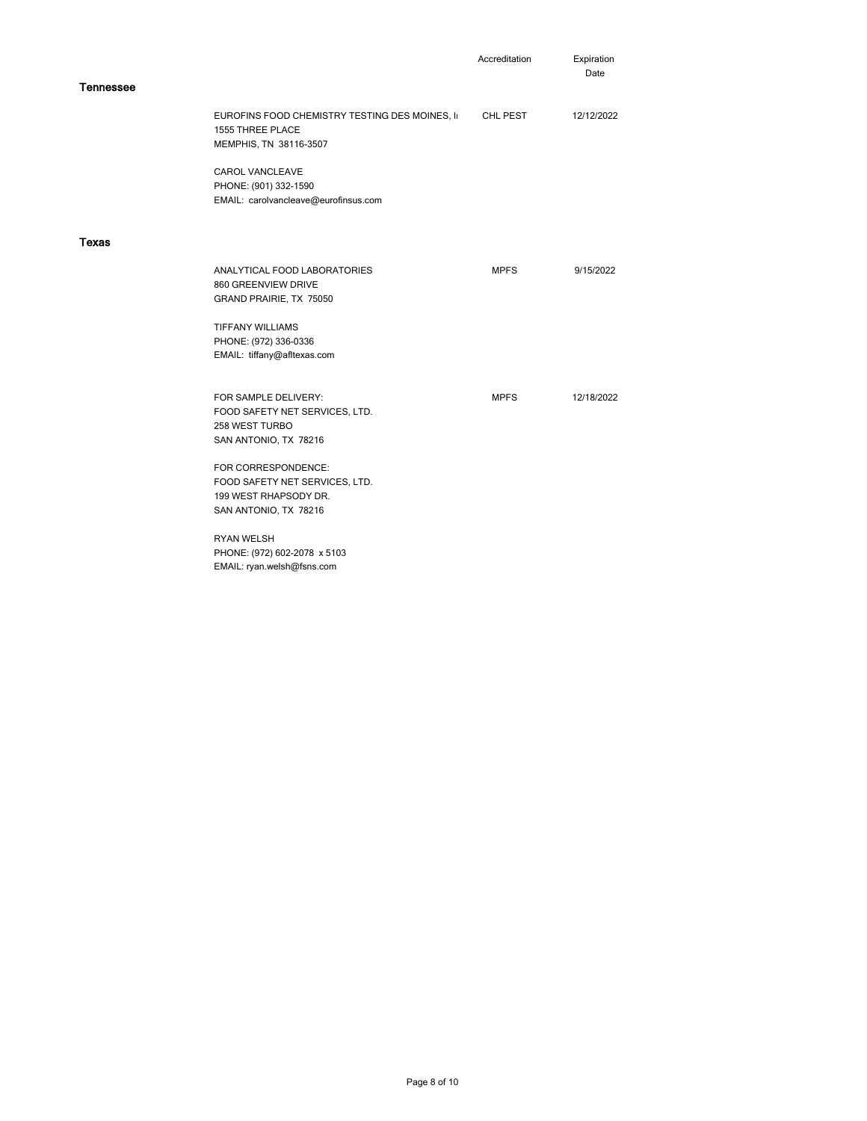|                  |                                                                                                         | Accreditation | Expiration<br>Date |
|------------------|---------------------------------------------------------------------------------------------------------|---------------|--------------------|
| <b>Tennessee</b> |                                                                                                         |               |                    |
|                  | EUROFINS FOOD CHEMISTRY TESTING DES MOINES, II<br>1555 THREE PLACE<br>MEMPHIS, TN 38116-3507            | CHL PEST      | 12/12/2022         |
|                  | <b>CAROL VANCLEAVE</b><br>PHONE: (901) 332-1590<br>EMAIL: carolvancleave@eurofinsus.com                 |               |                    |
| Texas            |                                                                                                         |               |                    |
|                  | ANALYTICAL FOOD LABORATORIES<br>860 GREENVIEW DRIVE<br>GRAND PRAIRIE, TX 75050                          | <b>MPFS</b>   | 9/15/2022          |
|                  | <b>TIFFANY WILLIAMS</b><br>PHONE: (972) 336-0336<br>EMAIL: tiffany@afltexas.com                         |               |                    |
|                  | FOR SAMPLE DELIVERY:<br>FOOD SAFETY NET SERVICES, LTD.<br>258 WEST TURBO<br>SAN ANTONIO, TX 78216       | <b>MPFS</b>   | 12/18/2022         |
|                  | FOR CORRESPONDENCE:<br>FOOD SAFETY NET SERVICES, LTD.<br>199 WEST RHAPSODY DR.<br>SAN ANTONIO, TX 78216 |               |                    |
|                  | <b>RYAN WELSH</b>                                                                                       |               |                    |

PHONE: (972) 602-2078 x 5103

EMAIL: ryan.welsh@fsns.com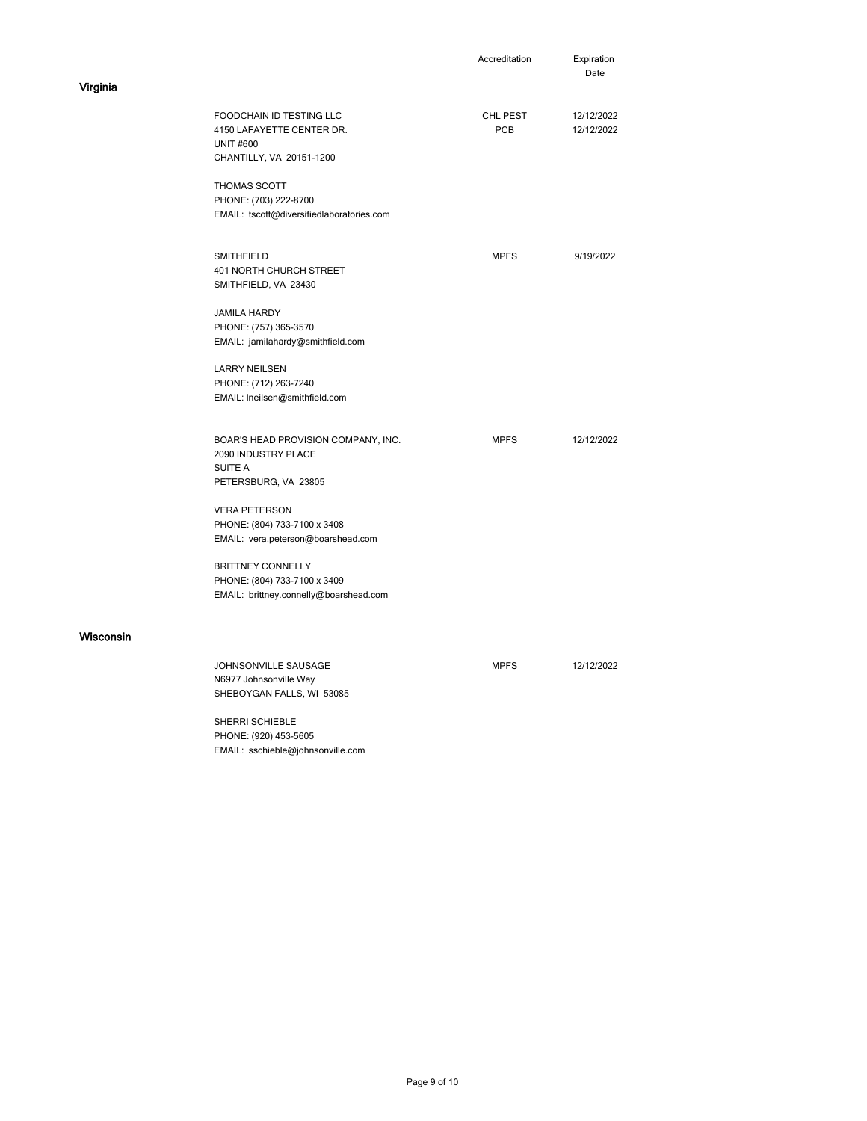|           |                                                                                                              | Accreditation   | Expiration<br>Date       |
|-----------|--------------------------------------------------------------------------------------------------------------|-----------------|--------------------------|
| Virginia  |                                                                                                              |                 |                          |
|           | <b>FOODCHAIN ID TESTING LLC</b><br>4150 LAFAYETTE CENTER DR.<br><b>UNIT #600</b><br>CHANTILLY, VA 20151-1200 | CHL PEST<br>PCB | 12/12/2022<br>12/12/2022 |
|           | THOMAS SCOTT<br>PHONE: (703) 222-8700<br>EMAIL: tscott@diversifiedlaboratories.com                           |                 |                          |
|           | SMITHFIELD<br>401 NORTH CHURCH STREET<br>SMITHFIELD, VA 23430                                                | <b>MPFS</b>     | 9/19/2022                |
|           | <b>JAMILA HARDY</b><br>PHONE: (757) 365-3570<br>EMAIL: jamilahardy@smithfield.com                            |                 |                          |
|           | <b>LARRY NEILSEN</b><br>PHONE: (712) 263-7240<br>EMAIL: Ineilsen@smithfield.com                              |                 |                          |
|           | BOAR'S HEAD PROVISION COMPANY, INC.<br>2090 INDUSTRY PLACE<br><b>SUITE A</b><br>PETERSBURG, VA 23805         | <b>MPFS</b>     | 12/12/2022               |
|           | <b>VERA PETERSON</b><br>PHONE: (804) 733-7100 x 3408<br>EMAIL: vera.peterson@boarshead.com                   |                 |                          |
|           | <b>BRITTNEY CONNELLY</b><br>PHONE: (804) 733-7100 x 3409<br>EMAIL: brittney.connelly@boarshead.com           |                 |                          |
| Wisconsin |                                                                                                              |                 |                          |
|           | JOHNSONVILLE SAUSAGE<br>N6977 Johnsonville Way<br>SHEBOYGAN FALLS, WI 53085                                  | <b>MPFS</b>     | 12/12/2022               |
|           | SHERRI SCHIEBLE                                                                                              |                 |                          |

 EMAIL: sschieble@johnsonville.com PHONE: (920) 453-5605